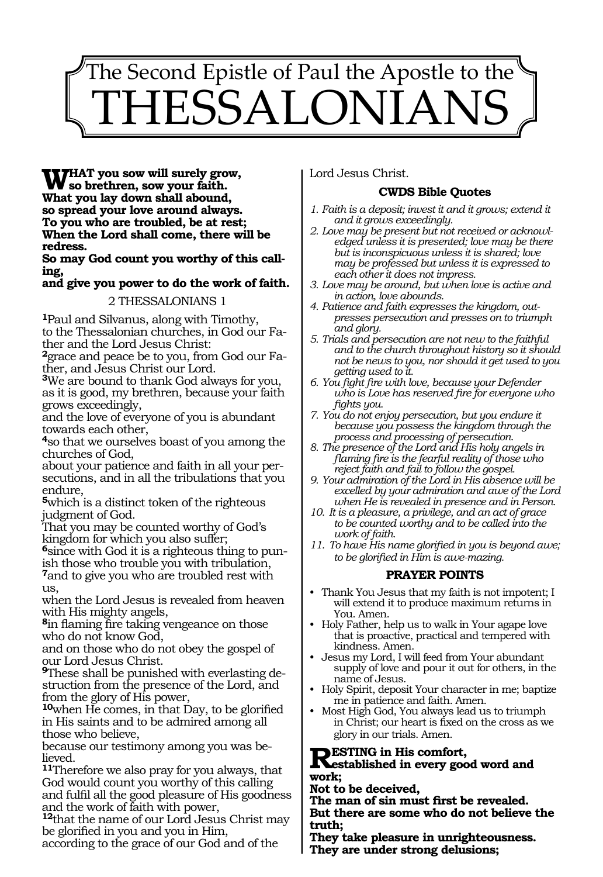# 1503 The Second Epistle of Paul the Apostle to the $^{\backprime}$ 'HESSALONIAN

**WHAT you sow will surely grow,<br>
We so brethren, sow your faith.**<br>
What you lovedown shall abound **What you lay down shall abound, so spread your love around always. To you who are troubled, be at rest; When the Lord shall come, there will be redress.**

**So may God count you worthy of this calling,**

**and give you power to do the work of faith.**

2 THESSALONIANS 1

**<sup>1</sup>**Paul and Silvanus, along with Timothy, to the Thessalonian churches, in God our Father and the Lord Jesus Christ:

**2**grace and peace be to you, from God our Father, and Jesus Christ our Lord.

**<sup>3</sup>**We are bound to thank God always for you, as it is good, my brethren, because your faith grows exceedingly,

and the love of everyone of you is abundant towards each other,

**<sup>4</sup>**so that we ourselves boast of you among the churches of God,

about your patience and faith in all your persecutions, and in all the tribulations that you endure,

**<sup>5</sup>**which is a distinct token of the righteous judgment of God.

That you may be counted worthy of God's kingdom for which you also suffer;

**<sup>6</sup>**since with God it is a righteous thing to pun- ish those who trouble you with tribulation, **<sup>7</sup>**and to give you who are troubled rest with us,

when the Lord Jesus is revealed from heaven with His mighty angels,

**<sup>8</sup>**in flaming fire taking vengeance on those who do not know God,

and on those who do not obey the gospel of our Lord Jesus Christ.

**9**These shall be punished with everlasting destruction from the presence of the Lord, and from the glory of His power,

**<sup>10</sup>**when He comes, in that Day, to be glorified in His saints and to be admired among all those who believe,

because our testimony among you was believed.

**<sup>11</sup>**Therefore we also pray for you always, that God would count you worthy of this calling and fulfil all the good pleasure of His goodness and the work of faith with power,

**<sup>12</sup>**that the name of our Lord Jesus Christ may be glorified in you and you in Him,

according to the grace of our God and of the

Lord Jesus Christ.

## **CWDS Bible Quotes**

- *1. Faith is a deposit; invest it and it grows; extend it and it grows exceedingly.*
- *2. Love may be present but not received or acknowledged unless it is presented; love may be there but is inconspicuous unless it is shared; love may be professed but unless it is expressed to each other it does not impress.*
- *3. Love may be around, but when love is active and in action, love abounds.*
- *4. Patience and faith expresses the kingdom, outpresses persecution and presses on to triumph and glory.*
- *5. Trials and persecution are not new to the faithful and to the church throughout history so it should not be news to you, nor should it get used to you getting used to it.*
- *6. You fight fire with love, because your Defender who is Love has reserved fire for everyone who fights you.*
- *7. You do not enjoy persecution, but you endure it because you possess the kingdom through the process and processing of persecution.*
- *8. The presence of the Lord and His holy angels in flaming fire is the fearful reality of those who reject faith and fail to follow the gospel.*
- *9. Your admiration of the Lord in His absence will be excelled by your admiration and awe of the Lord when He is revealed in presence and in Person.*
- *10. It is a pleasure, a privilege, and an act of grace to be counted worthy and to be called into the work of faith.*
- *11. To have His name glorified in you is beyond awe; to be glorified in Him is awe-mazing.*

### **PRAYER POINTS**

- Thank You Jesus that my faith is not impotent; I will extend it to produce maximum returns in You. Amen.
- Holy Father, help us to walk in Your agape love that is proactive, practical and tempered with kindness. Amen.
- Jesus my Lord, I will feed from Your abundant supply of love and pour it out for others, in the name of Jesus.
- Holy Spirit, deposit Your character in me; baptize me in patience and faith. Amen.
- Most High God, You always lead us to triumph in Christ; our heart is fixed on the cross as we glory in our trials. Amen.

**RESTING in His comfort,<br>
Restablished in every good word and <br>
ready. work;** 

**Not to be deceived,** 

**The man of sin must first be revealed. But there are some who do not believe the truth;** 

**They take pleasure in unrighteousness. They are under strong delusions;**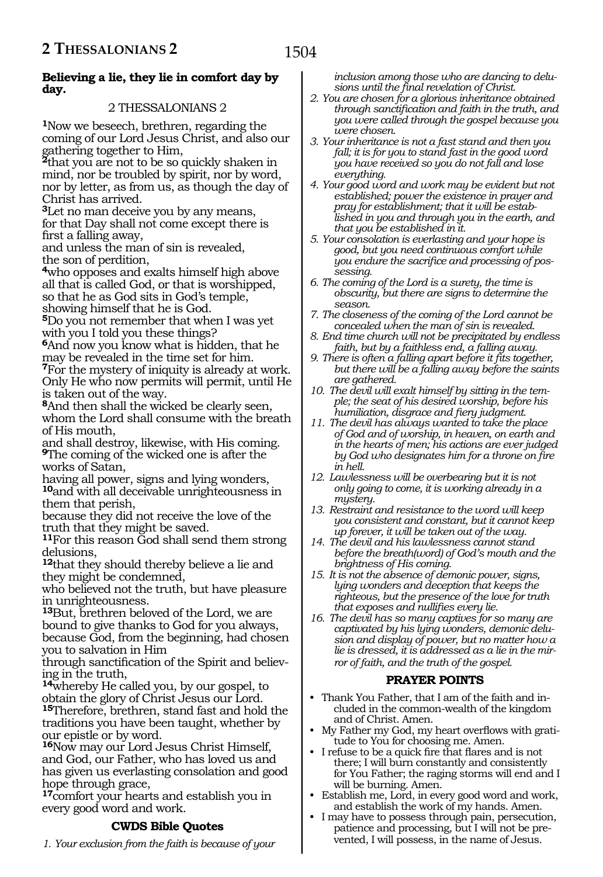#### **Believing a lie, they lie in comfort day by day.**

### 2 THESSALONIANS 2

**<sup>1</sup>**Now we beseech, brethren, regarding the coming of our Lord Jesus Christ, and also our gathering together to Him,

**<sup>2</sup>**that you are not to be so quickly shaken in mind, nor be troubled by spirit, nor by word, nor by letter, as from us, as though the day of Christ has arrived.

**<sup>3</sup>**Let no man deceive you by any means, for that Day shall not come except there is first a falling away,

and unless the man of sin is revealed, the son of perdition,

**<sup>4</sup>**who opposes and exalts himself high above all that is called God, or that is worshipped, so that he as God sits in God's temple, showing himself that he is God.

**<sup>5</sup>**Do you not remember that when I was yet with you I told you these things?

**<sup>6</sup>**And now you know what is hidden, that he may be revealed in the time set for him. **<sup>7</sup>**For the mystery of iniquity is already at work. Only He who now permits will permit, until He is taken out of the way.

**<sup>8</sup>**And then shall the wicked be clearly seen, whom the Lord shall consume with the breath of His mouth,

and shall destroy, likewise, with His coming. **<sup>9</sup>**The coming of the wicked one is after the works of Satan,

having all power, signs and lying wonders, **<sup>10</sup>**and with all deceivable unrighteousness in them that perish,

because they did not receive the love of the truth that they might be saved.

**<sup>11</sup>**For this reason God shall send them strong delusions,

**<sup>12</sup>**that they should thereby believe a lie and they might be condemned,

who believed not the truth, but have pleasure in unrighteousness.

**<sup>13</sup>**But, brethren beloved of the Lord, we are bound to give thanks to God for you always, because God, from the beginning, had chosen you to salvation in Him

through sanctification of the Spirit and believing in the truth,

**<sup>14</sup>**whereby He called you, by our gospel, to obtain the glory of Christ Jesus our Lord. **<sup>15</sup>**Therefore, brethren, stand fast and hold the traditions you have been taught, whether by

our epistle or by word. **<sup>16</sup>**Now may our Lord Jesus Christ Himself,

and God, our Father, who has loved us and has given us everlasting consolation and good hope through grace,

**<sup>17</sup>**comfort your hearts and establish you in every good word and work.

### **CWDS Bible Quotes**

*1. Your exclusion from the faith is because of your* 

*inclusion among those who are dancing to delusions until the final revelation of Christ.*

- *2. You are chosen for a glorious inheritance obtained through sanctification and faith in the truth, and you were called through the gospel because you were chosen.*
- *3. Your inheritance is not a fast stand and then you fall; it is for you to stand fast in the good word you have received so you do not fall and lose everything.*
- *4. Your good word and work may be evident but not established; power the existence in prayer and pray for establishment; that it will be established in you and through you in the earth, and that you be established in it.*
- *5. Your consolation is everlasting and your hope is good, but you need continuous comfort while you endure the sacrifice and processing of possessing.*
- *6. The coming of the Lord is a surety, the time is obscurity, but there are signs to determine the season.*
- *7. The closeness of the coming of the Lord cannot be concealed when the man of sin is revealed.*
- *8. End time church will not be precipitated by endless faith, but by a faithless end, a falling away.*
- *9. There is often a falling apart before it fits together, but there will be a falling away before the saints are gathered.*
- *10. The devil will exalt himself by sitting in the temple; the seat of his desired worship, before his humiliation, disgrace and fiery judgment.*
- *11. The devil has always wanted to take the place of God and of worship, in heaven, on earth and in the hearts of men; his actions are ever judged by God who designates him for a throne on fire in hell.*
- *12. Lawlessness will be overbearing but it is not only going to come, it is working already in a mystery.*
- *13. Restraint and resistance to the word will keep you consistent and constant, but it cannot keep up forever, it will be taken out of the way.*
- *14. The devil and his lawlessness cannot stand before the breath(word) of God's mouth and the brightness of His coming.*
- *15. It is not the absence of demonic power, signs, lying wonders and deception that keeps the righteous, but the presence of the love for truth that exposes and nullifies every lie.*
- *16. The devil has so many captives for so many are captivated by his lying wonders, demonic delusion and display of power, but no matter how a lie is dressed, it is addressed as a lie in the mirror of faith, and the truth of the gospel.*

### **PRAYER POINTS**

- Thank You Father, that I am of the faith and included in the common-wealth of the kingdom and of Christ. Amen.
- My Father my God, my heart overflows with gratitude to You for choosing me. Amen.
- I refuse to be a quick fire that flares and is not there; I will burn constantly and consistently for You Father; the raging storms will end and I will be burning. Amen.
- Establish me, Lord, in every good word and work, and establish the work of my hands. Amen.
- I may have to possess through pain, persecution, patience and processing, but I will not be prevented, I will possess, in the name of Jesus.